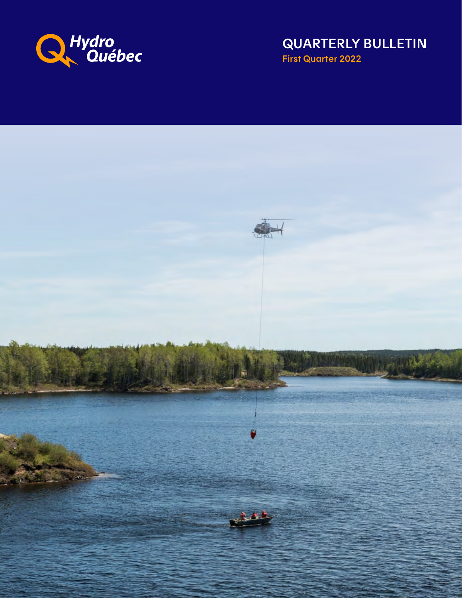

QUARTERLY BULLETIN First Quarter 2022

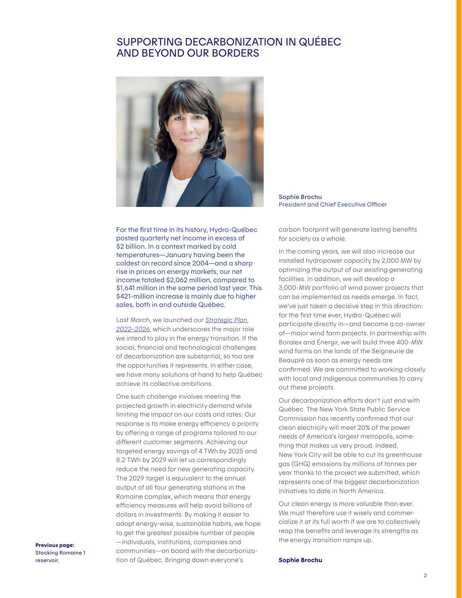# SUPPORTING DECARBONIZATION IN QUÉBEC AND BEYOND OUR BORDERS



Sophie Brochu President and Chief Executive Officer

For the first time in its history, Hydro-Québec posted quarterly net income in excess of \$2 billion. In a context marked by cold temperatures—January having been the coldest on record since 2004—and a sharp rise in prices on energy markets, our net income totaled \$2,062 million, compared to \$1,641 million in the same period last year. This \$421-million increase is mainly due to higher sales, both in and outside Québec.

Last March, we launched our *[Strategic Plan](https://www.hydroquebec.com/about/strategic-plan.html)  [2022–2026](https://www.hydroquebec.com/about/strategic-plan.html)*, which underscores the major role we intend to play in the energy transition. If the social, financial and technological challenges of decarbonization are substantial, so too are the opportunities it represents. In either case, we have many solutions at hand to help Québec achieve its collective ambitions.

One such challenge involves meeting the projected growth in electricity demand while limiting the impact on our costs and rates. Our response is to make energy efficiency a priority by offering a range of programs tailored to our different customer segments. Achieving our targeted energy savings of 4 TWh by 2025 and 8.2 TWh by 2029 will let us correspondingly reduce the need for new generating capacity. The 2029 target is equivalent to the annual output of all four generating stations in the Romaine complex, which means that energy efficiency measures will help avoid billions of dollars in investments. By making it easier to adopt energy-wise, sustainable habits, we hope to get the greatest possible number of people —individuals, institutions, companies and communities—on board with the decarbonization of Québec. Bringing down everyone's

carbon footprint will generate lasting benefits for society as a whole.

In the coming years, we will also increase our installed hydropower capacity by 2,000 MW by optimizing the output of our existing generating facilities. In addition, we will develop a 3,000-MW portfolio of wind power projects that can be implemented as needs emerge. In fact, we've just taken a decisive step in this direction: for the first time ever, Hydro-Québec will participate directly in—and become a co-owner of—major wind farm projects. In partnership with Boralex and Énergir, we will build three 400-MW wind farms on the lands of the Seigneurie de Beaupré as soon as energy needs are confirmed. We are committed to working closely with local and Indigenous communities to carry out these projects.

Our decarbonization efforts don't just end with Québec. The New York State Public Service Commission has recently confirmed that our clean electricity will meet 20% of the power needs of America's largest metropolis, something that makes us very proud. Indeed, New York City will be able to cut its greenhouse gas (GHG) emissions by millions of tonnes per year thanks to the project we submitted, which represents one of the biggest decarbonization initiatives to date in North America.

Our clean energy is more valuable than ever. We must therefore use it wisely and commercialize it at its full worth if we are to collectively reap the benefits and leverage its strengths as the energy transition ramps up.

#### Sophie Brochu

Previous page: Stocking Romaine 1 reservoir.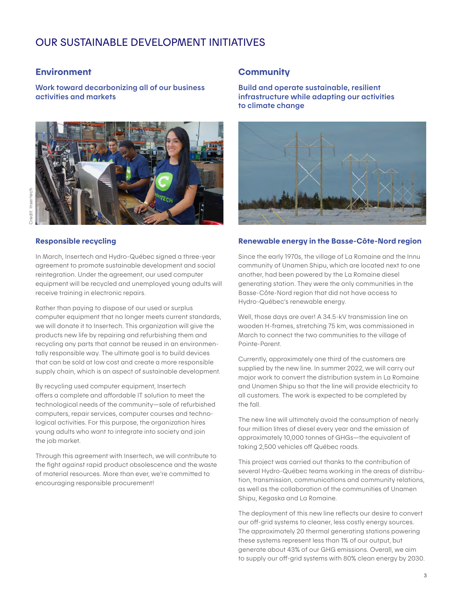# OUR SUSTAINABLE DEVELOPMENT INITIATIVES

#### **Environment**

Work toward decarbonizing all of our business activities and markets



#### Responsible recycling

In March, Insertech and Hydro-Québec signed a three-year agreement to promote sustainable development and social reintegration. Under the agreement, our used computer equipment will be recycled and unemployed young adults will receive training in electronic repairs.

Rather than paying to dispose of our used or surplus computer equipment that no longer meets current standards, we will donate it to Insertech. This organization will give the products new life by repairing and refurbishing them and recycling any parts that cannot be reused in an environmentally responsible way. The ultimate goal is to build devices that can be sold at low cost and create a more responsible supply chain, which is an aspect of sustainable development.

By recycling used computer equipment, Insertech offers a complete and affordable IT solution to meet the technological needs of the community—sale of refurbished computers, repair services, computer courses and technological activities. For this purpose, the organization hires young adults who want to integrate into society and join the job market.

Through this agreement with Insertech, we will contribute to the fight against rapid product obsolescence and the waste of material resources. More than ever, we're committed to encouraging responsible procurement!

#### **Community**

Build and operate sustainable, resilient infrastructure while adapting our activities to climate change



#### Renewable energy in the Basse-Côte-Nord region

Since the early 1970s, the village of La Romaine and the Innu community of Unamen Shipu, which are located next to one another, had been powered by the La Romaine diesel generating station. They were the only communities in the Basse-Côte-Nord region that did not have access to Hydro-Québec's renewable energy.

Well, those days are over! A 34.5-kV transmission line on wooden H-frames, stretching 75 km, was commissioned in March to connect the two communities to the village of Pointe-Parent.

Currently, approximately one third of the customers are supplied by the new line. In summer 2022, we will carry out major work to convert the distribution system in La Romaine and Unamen Shipu so that the line will provide electricity to all customers. The work is expected to be completed by the fall.

The new line will ultimately avoid the consumption of nearly four million litres of diesel every year and the emission of approximately 10,000 tonnes of GHGs—the equivalent of taking 2,500 vehicles off Québec roads.

This project was carried out thanks to the contribution of several Hydro-Québec teams working in the areas of distribution, transmission, communications and community relations, as well as the collaboration of the communities of Unamen Shipu, Kegaska and La Romaine.

The deployment of this new line reflects our desire to convert our off-grid systems to cleaner, less costly energy sources. The approximately 20 thermal generating stations powering these systems represent less than 1% of our output, but generate about 43% of our GHG emissions. Overall, we aim to supply our off-grid systems with 80% clean energy by 2030.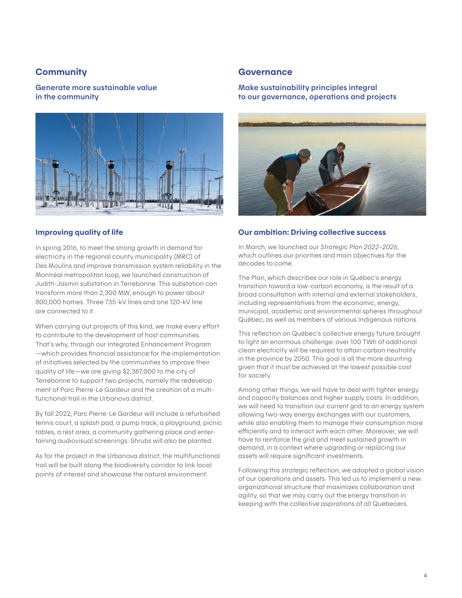#### **Community**

Generate more sustainable value in the community



#### Improving quality of life

In spring 2016, to meet the strong growth in demand for electricity in the regional county municipality (MRC) of Des Moulins and improve transmission system reliability in the Montréal metropolitan loop, we launched construction of Judith-Jasmin substation in Terrebonne. This substation can transform more than 2,300 MW, enough to power about 800,000 homes. Three 735-kV lines and one 120-kV line are connected to it.

When carrying out projects of this kind, we make every effort to contribute to the development of host communities. That's why, through our Integrated Enhancement Program —which provides financial assistance for the implementation of initiatives selected by the communities to improve their quality of life—we are giving \$2,387,000 to the city of Terrebonne to support two projects, namely the redevelopment of Parc Pierre-Le Gardeur and the creation of a multifunctional trail in the Urbanova district.

By fall 2022, Parc Pierre-Le Gardeur will include a refurbished tennis court, a splash pad, a pump track, a playground, picnic tables, a rest area, a community gathering place and entertaining audiovisual screenings. Shrubs will also be planted.

As for the project in the Urbanova district, the multifunctional trail will be built along the biodiversity corridor to link local points of interest and showcase the natural environment.

#### **Governance**

#### Make sustainability principles integral to our governance, operations and projects



#### Our ambition: Driving collective success

In March, we launched our *Strategic Plan 2022–2026*, which outlines our priorities and main objectives for the decades to come.

The Plan, which describes our role in Québec's energy transition toward a low-carbon economy, is the result of a broad consultation with internal and external stakeholders, including representatives from the economic, energy, municipal, academic and environmental spheres throughout Québec, as well as members of various Indigenous nations.

This reflection on Québec's collective energy future brought to light an enormous challenge: over 100 TWh of additional clean electricity will be required to attain carbon neutrality in the province by 2050. This goal is all the more daunting given that it must be achieved at the lowest possible cost for society.

Among other things, we will have to deal with tighter energy and capacity balances and higher supply costs. In addition, we will need to transition our current grid to an energy system allowing two-way energy exchanges with our customers, while also enabling them to manage their consumption more efficiently and to interact with each other. Moreover, we will have to reinforce the grid and meet sustained growth in demand, in a context where upgrading or replacing our assets will require significant investments.

Following this strategic reflection, we adopted a global vision of our operations and assets. This led us to implement a new organizational structure that maximizes collaboration and agility, so that we may carry out the energy transition in keeping with the collective aspirations of all Quebecers.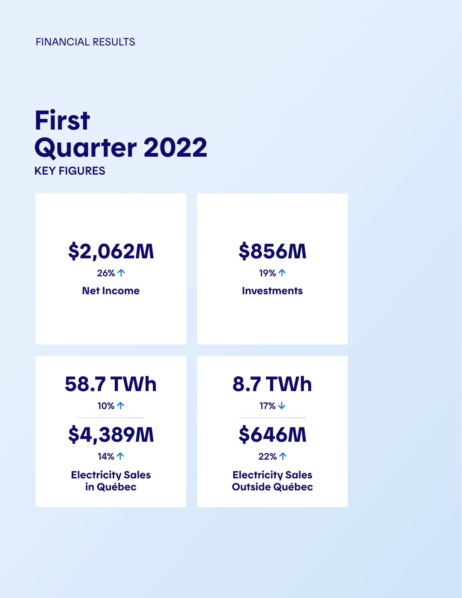FINANCIAL RESULTS

# First Quarter 2022 KEY FIGURES

# \$2,062M **26% 个**

Net Income

\$856M

19% 1

**Investments** 



10%



**14%个** 

Electricity Sales in Québec

8.7 TWh

 $17\% \t\downarrow$ 



22%

Electricity Sales Outside Québec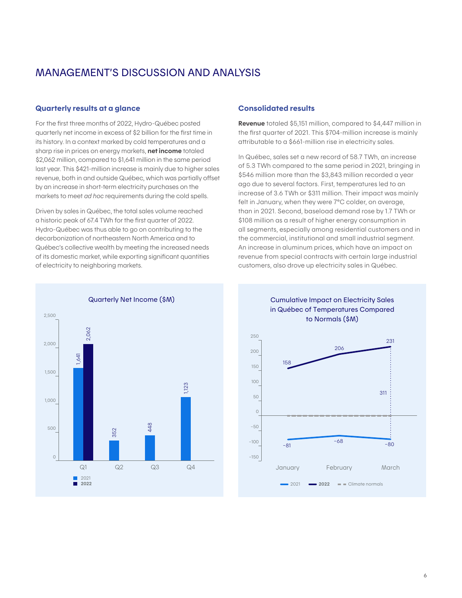# MANAGEMENT'S DISCUSSION AND ANALYSIS

#### Quarterly results at a glance

For the first three months of 2022, Hydro-Québec posted quarterly net income in excess of \$2 billion for the first time in its history. In a context marked by cold temperatures and a sharp rise in prices on energy markets, **net income** totaled \$2,062 million, compared to \$1,641 million in the same period last year. This \$421-million increase is mainly due to higher sales revenue, both in and outside Québec, which was partially offset by an increase in short-term electricity purchases on the markets to meet *ad hoc* requirements during the cold spells.

Driven by sales in Québec, the total sales volume reached a historic peak of 67.4 TWh for the first quarter of 2022. Hydro-Québec was thus able to go on contributing to the decarbonization of northeastern North America and to Québec's collective wealth by meeting the increased needs of its domestic market, while exporting significant quantities of electricity to neighboring markets.

#### Consolidated results

Revenue totaled \$5,151 million, compared to \$4,447 million in the first quarter of 2021. This \$704-million increase is mainly attributable to a \$661-million rise in electricity sales.

In Québec, sales set a new record of 58.7 TWh, an increase of 5.3 TWh compared to the same period in 2021, bringing in \$546 million more than the \$3,843 million recorded a year ago due to several factors. First, temperatures led to an increase of 3.6 TWh or \$311 million. Their impact was mainly felt in January, when they were 7°C colder, on average, than in 2021. Second, baseload demand rose by 1.7 TWh or \$108 million as a result of higher energy consumption in all segments, especially among residential customers and in the commercial, institutional and small industrial segment. An increase in aluminum prices, which have an impact on revenue from special contracts with certain large industrial customers, also drove up electricity sales in Québec.



Cumulative Impact on Electricity Sales in Québec of Temperatures Compared to Normals (\$M)

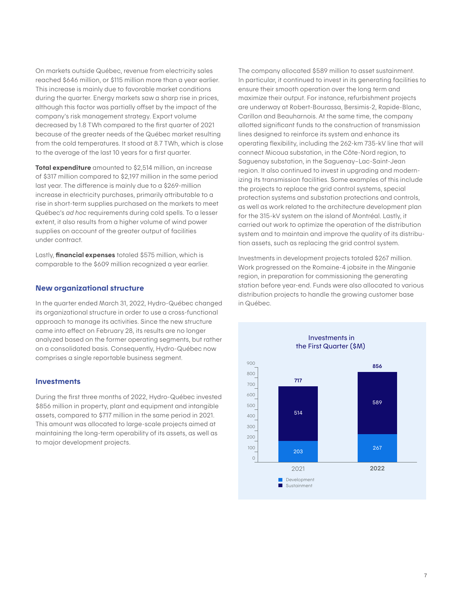On markets outside Québec, revenue from electricity sales reached \$646 million, or \$115 million more than a year earlier. This increase is mainly due to favorable market conditions during the quarter. Energy markets saw a sharp rise in prices, although this factor was partially offset by the impact of the company's risk management strategy. Export volume decreased by 1.8 TWh compared to the first quarter of 2021 because of the greater needs of the Québec market resulting from the cold temperatures. It stood at 8.7 TWh, which is close to the average of the last 10 years for a first quarter.

Total expenditure amounted to \$2,514 million, an increase of \$317 million compared to \$2,197 million in the same period last year. The difference is mainly due to a \$269-million increase in electricity purchases, primarily attributable to a rise in short-term supplies purchased on the markets to meet Québec's *ad hoc* requirements during cold spells. To a lesser extent, it also results from a higher volume of wind power supplies on account of the greater output of facilities under contract.

Lastly, **financial expenses** totaled \$575 million, which is comparable to the \$609 million recognized a year earlier.

#### New organizational structure

In the quarter ended March 31, 2022, Hydro-Québec changed its organizational structure in order to use a cross-functional approach to manage its activities. Since the new structure came into effect on February 28, its results are no longer analyzed based on the former operating segments, but rather on a consolidated basis. Consequently, Hydro-Québec now comprises a single reportable business segment.

#### **Investments**

During the first three months of 2022, Hydro-Québec invested \$856 million in property, plant and equipment and intangible assets, compared to \$717 million in the same period in 2021. This amount was allocated to large-scale projects aimed at maintaining the long-term operability of its assets, as well as to major development projects.

The company allocated \$589 million to asset sustainment. In particular, it continued to invest in its generating facilities to ensure their smooth operation over the long term and maximize their output. For instance, refurbishment projects are underway at Robert-Bourassa, Bersimis-2, Rapide-Blanc, Carillon and Beauharnois. At the same time, the company allotted significant funds to the construction of transmission lines designed to reinforce its system and enhance its operating flexibility, including the 262-km 735-kV line that will connect Micoua substation, in the Côte-Nord region, to Saguenay substation, in the Saguenay–Lac-Saint-Jean region. It also continued to invest in upgrading and modernizing its transmission facilities. Some examples of this include the projects to replace the grid control systems, special protection systems and substation protections and controls, as well as work related to the architecture development plan for the 315-kV system on the island of Montréal. Lastly, it carried out work to optimize the operation of the distribution system and to maintain and improve the quality of its distribution assets, such as replacing the grid control system.

Investments in development projects totaled \$267 million. Work progressed on the Romaine-4 jobsite in the Minganie region, in preparation for commissioning the generating station before year-end. Funds were also allocated to various distribution projects to handle the growing customer base in Québec.

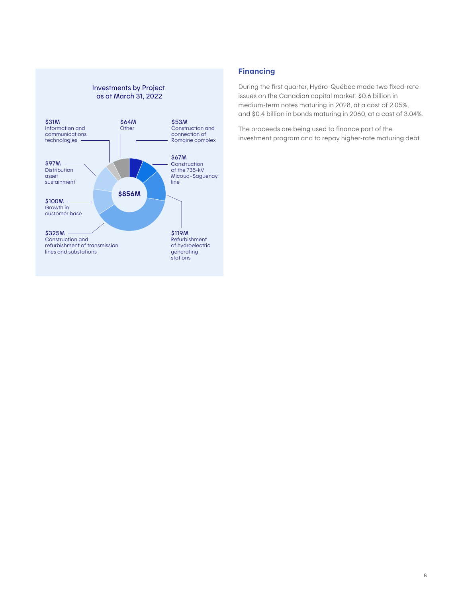#### Investments by Project as at March 31, 2022



#### Financing

During the first quarter, Hydro-Québec made two fixed-rate issues on the Canadian capital market: \$0.6 billion in medium-term notes maturing in 2028, at a cost of 2.05%, and \$0.4 billion in bonds maturing in 2060, at a cost of 3.04%.

The proceeds are being used to finance part of the investment program and to repay higher-rate maturing debt.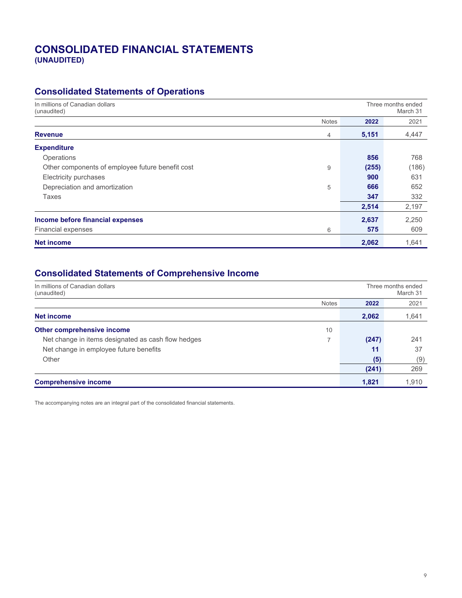# CONSOLIDATED FINANCIAL STATEMENTS **CONSOLIDATED FINANCIAL STATEMENTS (UNAUDITED)**

# **Consolidated Statements of Operations**

| In millions of Canadian dollars<br>(unaudited)   |              |       | Three months ended<br>March 31 |  |  |
|--------------------------------------------------|--------------|-------|--------------------------------|--|--|
|                                                  | <b>Notes</b> | 2022  | 2021                           |  |  |
| <b>Revenue</b>                                   | 4            | 5,151 | 4,447                          |  |  |
| <b>Expenditure</b>                               |              |       |                                |  |  |
| Operations                                       |              | 856   | 768                            |  |  |
| Other components of employee future benefit cost | 9            | (255) | (186)                          |  |  |
| Electricity purchases                            |              | 900   | 631                            |  |  |
| Depreciation and amortization                    | 5            | 666   | 652                            |  |  |
| Taxes                                            |              | 347   | 332                            |  |  |
|                                                  |              | 2,514 | 2,197                          |  |  |
| Income before financial expenses                 |              | 2,637 | 2,250                          |  |  |
| <b>Financial expenses</b>                        | 6            | 575   | 609                            |  |  |
| <b>Net income</b>                                |              | 2,062 | 1,641                          |  |  |

# **Consolidated Statements of Comprehensive Income**

| In millions of Canadian dollars<br>(unaudited)     |              |       | Three months ended<br>March 31 |  |
|----------------------------------------------------|--------------|-------|--------------------------------|--|
|                                                    | <b>Notes</b> | 2022  | 2021                           |  |
| Net income                                         |              | 2,062 | 1,641                          |  |
| Other comprehensive income                         | 10           |       |                                |  |
| Net change in items designated as cash flow hedges | ⇁            | (247) | 241                            |  |
| Net change in employee future benefits             |              | 11    | 37                             |  |
| Other                                              |              | (5)   | (9)                            |  |
|                                                    |              | (241) | 269                            |  |
| <b>Comprehensive income</b>                        |              | 1.821 | 1,910                          |  |

The accompanying notes are an integral part of the consolidated financial statements.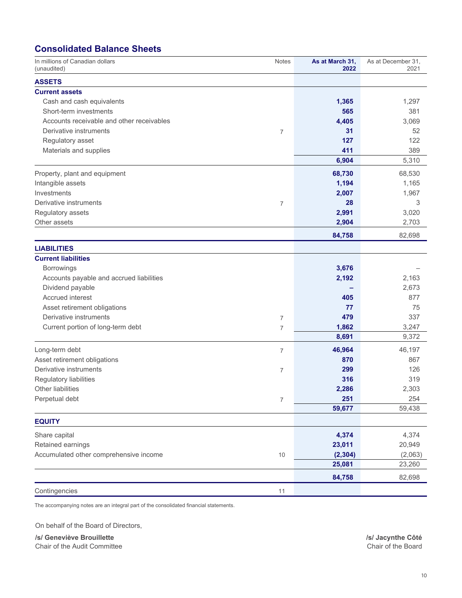# **Consolidated Balance Sheets**

| In millions of Canadian dollars<br>(unaudited) | <b>Notes</b>     | As at March 31,<br>2022 | As at December 31,<br>2021 |
|------------------------------------------------|------------------|-------------------------|----------------------------|
| <b>ASSETS</b>                                  |                  |                         |                            |
| <b>Current assets</b>                          |                  |                         |                            |
| Cash and cash equivalents                      |                  | 1,365                   | 1,297                      |
| Short-term investments                         |                  | 565                     | 381                        |
| Accounts receivable and other receivables      |                  | 4,405                   | 3,069                      |
| Derivative instruments                         | $\overline{7}$   | 31                      | 52                         |
| Regulatory asset                               |                  | 127                     | 122                        |
| Materials and supplies                         |                  | 411                     | 389                        |
|                                                |                  | 6,904                   | 5,310                      |
| Property, plant and equipment                  |                  | 68,730                  | 68,530                     |
| Intangible assets                              |                  | 1,194                   | 1,165                      |
| Investments                                    |                  | 2,007                   | 1,967                      |
| Derivative instruments                         | $\overline{7}$   | 28                      | 3                          |
| Regulatory assets                              |                  | 2,991                   | 3,020                      |
| Other assets                                   |                  | 2,904                   | 2,703                      |
|                                                |                  | 84,758                  | 82,698                     |
| <b>LIABILITIES</b>                             |                  |                         |                            |
| <b>Current liabilities</b>                     |                  |                         |                            |
| <b>Borrowings</b>                              |                  | 3,676                   |                            |
| Accounts payable and accrued liabilities       |                  | 2,192                   | 2,163                      |
| Dividend payable                               |                  |                         | 2,673                      |
| Accrued interest                               |                  | 405                     | 877                        |
| Asset retirement obligations                   |                  | 77                      | 75                         |
| Derivative instruments                         | $\overline{7}$   | 479                     | 337                        |
| Current portion of long-term debt              | 7                | 1,862                   | 3,247                      |
|                                                |                  | 8,691                   | 9,372                      |
| Long-term debt                                 | $\overline{7}$   | 46,964                  | 46,197                     |
| Asset retirement obligations                   |                  | 870                     | 867                        |
| Derivative instruments                         | 7                | 299                     | 126                        |
| Regulatory liabilities                         |                  | 316                     | 319                        |
| <b>Other liabilities</b>                       |                  | 2,286                   | 2,303                      |
| Perpetual debt                                 | $\boldsymbol{7}$ | 251                     | 254                        |
|                                                |                  | 59,677                  | 59,438                     |
| <b>EQUITY</b>                                  |                  |                         |                            |
| Share capital                                  |                  | 4,374                   | 4,374                      |
| Retained earnings                              |                  | 23,011                  | 20,949                     |
| Accumulated other comprehensive income         | 10               | (2, 304)                | (2,063)                    |
|                                                |                  | 25,081                  | 23,260                     |
|                                                |                  | 84,758                  | 82,698                     |
| Contingencies                                  | 11               |                         |                            |

The accompanying notes are an integral part of the consolidated financial statements.

On behalf of the Board of Directors,

**/s/ Geneviève Brouillette /s/ Jacynthe Côté**  Chair of the Audit Committee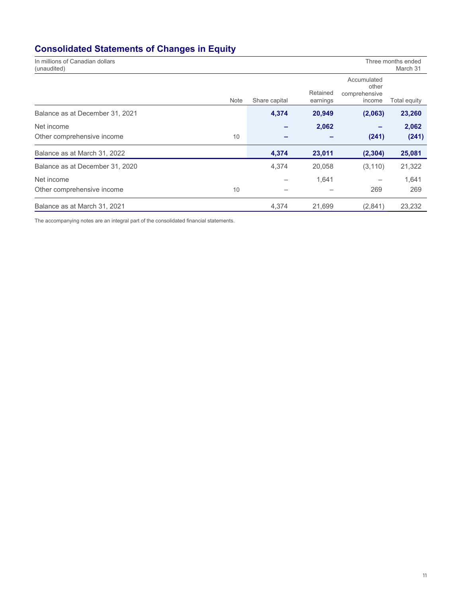# **Consolidated Statements of Changes in Equity**

| In millions of Canadian dollars<br>(unaudited) |               |                      |                                                 | Three months ended<br>March 31 |
|------------------------------------------------|---------------|----------------------|-------------------------------------------------|--------------------------------|
| <b>Note</b>                                    | Share capital | Retained<br>earnings | Accumulated<br>other<br>comprehensive<br>income | Total equity                   |
| Balance as at December 31, 2021                | 4,374         | 20,949               | (2,063)                                         | 23,260                         |
| Net income                                     |               | 2,062                |                                                 | 2,062                          |
| Other comprehensive income<br>10               |               |                      | (241)                                           | (241)                          |
| Balance as at March 31, 2022                   | 4,374         | 23,011               | (2, 304)                                        | 25,081                         |
| Balance as at December 31, 2020                | 4,374         | 20,058               | (3, 110)                                        | 21,322                         |
| Net income                                     |               | 1,641                |                                                 | 1,641                          |
| Other comprehensive income<br>10               |               |                      | 269                                             | 269                            |
| Balance as at March 31, 2021                   | 4,374         | 21,699               | (2,841)                                         | 23,232                         |

The accompanying notes are an integral part of the consolidated financial statements.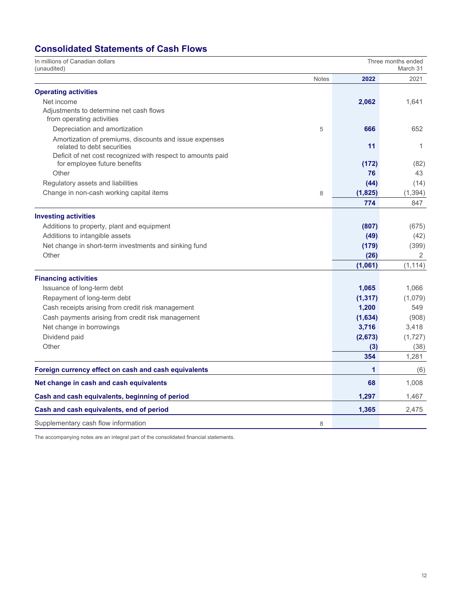# **Consolidated Statements of Cash Flows**

| In millions of Canadian dollars<br>(unaudited)                                       |              | Three months ended<br>March 31 |              |  |
|--------------------------------------------------------------------------------------|--------------|--------------------------------|--------------|--|
|                                                                                      | <b>Notes</b> | 2022                           | 2021         |  |
| <b>Operating activities</b>                                                          |              |                                |              |  |
| Net income                                                                           |              | 2,062                          | 1,641        |  |
| Adjustments to determine net cash flows                                              |              |                                |              |  |
| from operating activities                                                            |              |                                |              |  |
| Depreciation and amortization                                                        | 5            | 666                            | 652          |  |
| Amortization of premiums, discounts and issue expenses<br>related to debt securities |              | 11                             | $\mathbf{1}$ |  |
| Deficit of net cost recognized with respect to amounts paid                          |              |                                |              |  |
| for employee future benefits                                                         |              | (172)                          | (82)         |  |
| Other                                                                                |              | 76                             | 43           |  |
| Regulatory assets and liabilities                                                    |              | (44)                           | (14)         |  |
| Change in non-cash working capital items                                             | 8            | (1,825)                        | (1, 394)     |  |
|                                                                                      |              | 774                            | 847          |  |
| <b>Investing activities</b>                                                          |              |                                |              |  |
| Additions to property, plant and equipment                                           |              | (807)                          | (675)        |  |
| Additions to intangible assets                                                       |              | (49)                           | (42)         |  |
| Net change in short-term investments and sinking fund                                |              | (179)                          | (399)        |  |
| Other                                                                                |              | (26)                           | 2            |  |
|                                                                                      |              | (1,061)                        | (1, 114)     |  |
| <b>Financing activities</b>                                                          |              |                                |              |  |
| Issuance of long-term debt                                                           |              | 1,065                          | 1,066        |  |
| Repayment of long-term debt                                                          |              | (1, 317)                       | (1,079)      |  |
| Cash receipts arising from credit risk management                                    |              | 1,200                          | 549          |  |
| Cash payments arising from credit risk management                                    |              | (1,634)                        | (908)        |  |
| Net change in borrowings                                                             |              | 3,716                          | 3,418        |  |
| Dividend paid                                                                        |              | (2,673)                        | (1,727)      |  |
| Other                                                                                |              | (3)                            | (38)         |  |
|                                                                                      |              | 354                            | 1,281        |  |
| Foreign currency effect on cash and cash equivalents                                 |              | 1                              | (6)          |  |
| Net change in cash and cash equivalents                                              |              | 68                             | 1,008        |  |
| Cash and cash equivalents, beginning of period                                       |              | 1,297                          | 1,467        |  |
| Cash and cash equivalents, end of period                                             |              | 1,365                          | 2,475        |  |
| Supplementary cash flow information                                                  | 8            |                                |              |  |

The accompanying notes are an integral part of the consolidated financial statements.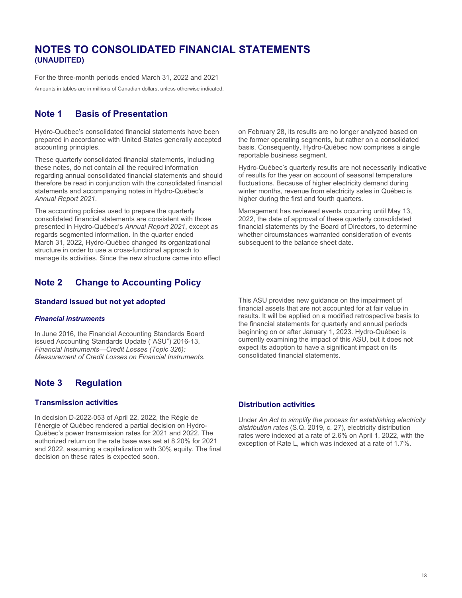# **NOTES TO CONSOLIDATED FINANCIAL STATEMENTS (UNAUDITED)**

For the three-month periods ended March 31, 2022 and 2021

Amounts in tables are in millions of Canadian dollars, unless otherwise indicated.

### **Note 1 Basis of Presentation**

Hydro-Québec's consolidated financial statements have been prepared in accordance with United States generally accepted accounting principles.

These quarterly consolidated financial statements, including these notes, do not contain all the required information regarding annual consolidated financial statements and should therefore be read in conjunction with the consolidated financial statements and accompanying notes in Hydro-Québec's *Annual Report 2021*.

The accounting policies used to prepare the quarterly consolidated financial statements are consistent with those presented in Hydro-Québec's *Annual Report 2021*, except as regards segmented information. In the quarter ended March 31, 2022, Hydro-Québec changed its organizational structure in order to use a cross-functional approach to manage its activities. Since the new structure came into effect

## **Note 2 Change to Accounting Policy**

#### **Standard issued but not yet adopted**

#### *Financial instruments*

In June 2016, the Financial Accounting Standards Board issued Accounting Standards Update ("ASU") 2016-13, *Financial Instruments—Credit Losses (Topic 326): Measurement of Credit Losses on Financial Instruments.*

### **Note 3 Regulation**

#### **Transmission activities**

In decision D-2022-053 of April 22, 2022, the Régie de l'énergie of Québec rendered a partial decision on Hydro-Québec's power transmission rates for 2021 and 2022. The authorized return on the rate base was set at 8.20% for 2021 and 2022, assuming a capitalization with 30% equity. The final decision on these rates is expected soon.

on February 28, its results are no longer analyzed based on the former operating segments, but rather on a consolidated basis. Consequently, Hydro-Québec now comprises a single reportable business segment.

Hydro-Québec's quarterly results are not necessarily indicative of results for the year on account of seasonal temperature fluctuations. Because of higher electricity demand during winter months, revenue from electricity sales in Québec is higher during the first and fourth quarters.

Management has reviewed events occurring until May 13, 2022, the date of approval of these quarterly consolidated financial statements by the Board of Directors, to determine whether circumstances warranted consideration of events subsequent to the balance sheet date.

This ASU provides new guidance on the impairment of financial assets that are not accounted for at fair value in results. It will be applied on a modified retrospective basis to the financial statements for quarterly and annual periods beginning on or after January 1, 2023. Hydro-Québec is currently examining the impact of this ASU, but it does not expect its adoption to have a significant impact on its consolidated financial statements.

#### **Distribution activities**

Under *An Act to simplify the process for establishing electricity distribution rates* (S.Q. 2019, c. 27), electricity distribution rates were indexed at a rate of 2.6% on April 1, 2022, with the exception of Rate L, which was indexed at a rate of 1.7%.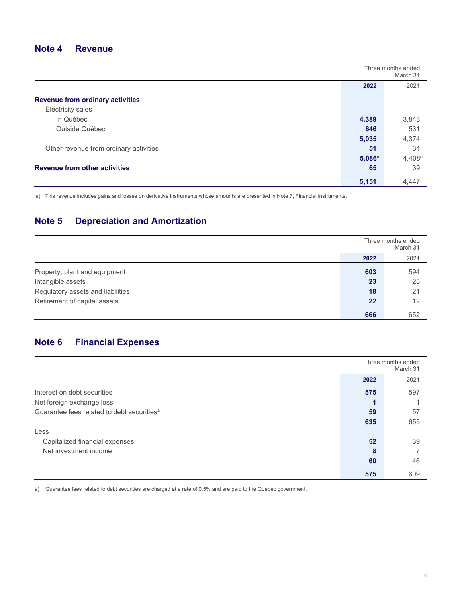### **Note 4 Revenue**

|                                         | Three months ended<br>March 31 |           |
|-----------------------------------------|--------------------------------|-----------|
|                                         | 2022                           | 2021      |
| <b>Revenue from ordinary activities</b> |                                |           |
| Electricity sales                       |                                |           |
| In Québec                               | 4,389                          | 3,843     |
| Outside Québec                          | 646                            | 531       |
|                                         | 5,035                          | 4,374     |
| Other revenue from ordinary activities  | 51                             | 34        |
|                                         | 5,086a                         | $4,408^a$ |
| <b>Revenue from other activities</b>    | 65                             | 39        |
|                                         | 5,151                          | 4,447     |

a) This revenue includes gains and losses on derivative instruments whose amounts are presented in Note 7, Financial instruments.

# **Note 5 Depreciation and Amortization**

|                                   |      | Three months ended<br>March 31 |
|-----------------------------------|------|--------------------------------|
|                                   | 2022 | 2021                           |
| Property, plant and equipment     | 603  | 594                            |
| Intangible assets                 | 23   | 25                             |
| Regulatory assets and liabilities | 18   | 21                             |
| Retirement of capital assets      | 22   | 12                             |
|                                   | 666  | 652                            |

# **Note 6 Financial Expenses**

|                                                        | Three months ended<br>March 31 |      |
|--------------------------------------------------------|--------------------------------|------|
|                                                        | 2022                           | 2021 |
| Interest on debt securities                            | 575                            | 597  |
| Net foreign exchange loss                              |                                |      |
| Guarantee fees related to debt securities <sup>a</sup> | 59                             | 57   |
|                                                        | 635                            | 655  |
| Less                                                   |                                |      |
| Capitalized financial expenses                         | 52                             | 39   |
| Net investment income                                  | 8                              |      |
|                                                        | 60                             | 46   |
|                                                        | 575                            | 609  |

a) Guarantee fees related to debt securities are charged at a rate of 0.5% and are paid to the Québec government.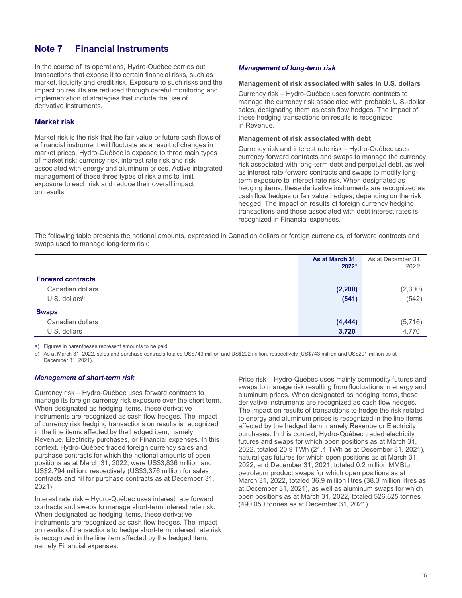### **Note 7 Financial Instruments**

In the course of its operations, Hydro-Québec carries out transactions that expose it to certain financial risks, such as market, liquidity and credit risk. Exposure to such risks and the impact on results are reduced through careful monitoring and implementation of strategies that include the use of derivative instruments.

#### **Market risk**

Market risk is the risk that the fair value or future cash flows of a financial instrument will fluctuate as a result of changes in market prices. Hydro-Québec is exposed to three main types of market risk: currency risk, interest rate risk and risk associated with energy and aluminum prices. Active integrated management of these three types of risk aims to limit exposure to each risk and reduce their overall impact on results.

#### *Management of long-term risk*

#### **Management of risk associated with sales in U.S. dollars**

Currency risk – Hydro-Québec uses forward contracts to manage the currency risk associated with probable U.S.-dollar sales, designating them as cash flow hedges. The impact of these hedging transactions on results is recognized in Revenue.

#### **Management of risk associated with debt**

Currency risk and interest rate risk – Hydro-Québec uses currency forward contracts and swaps to manage the currency risk associated with long-term debt and perpetual debt, as well as interest rate forward contracts and swaps to modify longterm exposure to interest rate risk. When designated as hedging items, these derivative instruments are recognized as cash flow hedges or fair value hedges, depending on the risk hedged. The impact on results of foreign currency hedging transactions and those associated with debt interest rates is recognized in Financial expenses.

The following table presents the notional amounts, expressed in Canadian dollars or foreign currencies, of forward contracts and swaps used to manage long-term risk:

|                             | As at March 31,<br>$2022^{\circ}$ | As at December 31,<br>$2021^a$ |
|-----------------------------|-----------------------------------|--------------------------------|
| <b>Forward contracts</b>    |                                   |                                |
| Canadian dollars            | (2, 200)                          | (2,300)                        |
| $U.S.$ dollars <sup>b</sup> | (541)                             | (542)                          |
| <b>Swaps</b>                |                                   |                                |
| Canadian dollars            | (4, 444)                          | (5, 716)                       |
| U.S. dollars                | 3,720                             | 4,770                          |

a) Figures in parentheses represent amounts to be paid.

b) As at March 31, 2022, sales and purchase contracts totaled US\$743 million and US\$202 million, respectively (US\$743 million and US\$201 million as at December 31, 2021).

#### *Management of short-term risk*

Currency risk – Hydro-Québec uses forward contracts to manage its foreign currency risk exposure over the short term. When designated as hedging items, these derivative instruments are recognized as cash flow hedges. The impact of currency risk hedging transactions on results is recognized in the line items affected by the hedged item, namely Revenue, Electricity purchases, or Financial expenses. In this context, Hydro-Québec traded foreign currency sales and purchase contracts for which the notional amounts of open positions as at March 31, 2022, were US\$3,836 million and US\$2,794 million, respectively (US\$3,376 million for sales contracts and nil for purchase contracts as at December 31, 2021).

Interest rate risk – Hydro-Québec uses interest rate forward contracts and swaps to manage short-term interest rate risk. When designated as hedging items, these derivative instruments are recognized as cash flow hedges. The impact on results of transactions to hedge short-term interest rate risk is recognized in the line item affected by the hedged item, namely Financial expenses.

Price risk – Hydro-Québec uses mainly commodity futures and swaps to manage risk resulting from fluctuations in energy and aluminum prices. When designated as hedging items, these derivative instruments are recognized as cash flow hedges. The impact on results of transactions to hedge the risk related to energy and aluminum prices is recognized in the line items affected by the hedged item, namely Revenue or Electricity purchases. In this context, Hydro-Québec traded electricity futures and swaps for which open positions as at March 31, 2022, totaled 20.9 TWh (21.1 TWh as at December 31, 2021), natural gas futures for which open positions as at March 31, 2022, and December 31, 2021, totaled 0.2 million MMBtu , petroleum product swaps for which open positions as at March 31, 2022, totaled 36.9 million litres (38.3 million litres as at December 31, 2021), as well as aluminum swaps for which open positions as at March 31, 2022, totaled 526,625 tonnes (490,050 tonnes as at December 31, 2021).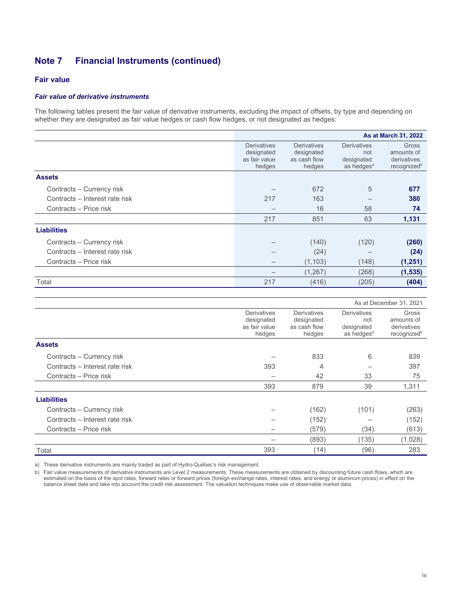#### **Fair value**

#### *Fair value of derivative instruments*

The following tables present the fair value of derivative instruments, excluding the impact of offsets, by type and depending on whether they are designated as fair value hedges or cash flow hedges, or not designated as hedges:

|                                |                                                             | As at March 31, 2022                                |                                                                   |                                                                      |  |
|--------------------------------|-------------------------------------------------------------|-----------------------------------------------------|-------------------------------------------------------------------|----------------------------------------------------------------------|--|
|                                | <b>Derivatives</b><br>designated<br>as fair value<br>hedges | Derivatives<br>designated<br>as cash flow<br>hedges | <b>Derivatives</b><br>not<br>designated<br>as hedges <sup>a</sup> | <b>Gross</b><br>amounts of<br>derivatives<br>recognized <sup>b</sup> |  |
| <b>Assets</b>                  |                                                             |                                                     |                                                                   |                                                                      |  |
| Contracts – Currency risk      |                                                             | 672                                                 | 5                                                                 | 677                                                                  |  |
| Contracts - Interest rate risk | 217                                                         | 163                                                 |                                                                   | 380                                                                  |  |
| Contracts – Price risk         |                                                             | 16                                                  | 58                                                                | 74                                                                   |  |
|                                | 217                                                         | 851                                                 | 63                                                                | 1,131                                                                |  |
| <b>Liabilities</b>             |                                                             |                                                     |                                                                   |                                                                      |  |
| Contracts - Currency risk      |                                                             | (140)                                               | (120)                                                             | (260)                                                                |  |
| Contracts – Interest rate risk |                                                             | (24)                                                |                                                                   | (24)                                                                 |  |
| Contracts - Price risk         |                                                             | (1, 103)                                            | (148)                                                             | (1,251)                                                              |  |
|                                |                                                             | (1, 267)                                            | (268)                                                             | (1, 535)                                                             |  |
| Total                          | 217                                                         | (416)                                               | (205)                                                             | (404)                                                                |  |

|                                |                                                             | As at December 31, 2021                                    |                                                            |                                                               |
|--------------------------------|-------------------------------------------------------------|------------------------------------------------------------|------------------------------------------------------------|---------------------------------------------------------------|
|                                | <b>Derivatives</b><br>designated<br>as fair value<br>hedges | <b>Derivatives</b><br>designated<br>as cash flow<br>hedges | Derivatives<br>not<br>designated<br>as hedges <sup>a</sup> | Gross<br>amounts of<br>derivatives<br>recognized <sup>b</sup> |
| <b>Assets</b>                  |                                                             |                                                            |                                                            |                                                               |
| Contracts - Currency risk      |                                                             | 833                                                        | 6                                                          | 839                                                           |
| Contracts - Interest rate risk | 393                                                         | 4                                                          |                                                            | 397                                                           |
| Contracts - Price risk         |                                                             | 42                                                         | 33                                                         | 75                                                            |
|                                | 393                                                         | 879                                                        | 39                                                         | 1,311                                                         |
| <b>Liabilities</b>             |                                                             |                                                            |                                                            |                                                               |
| Contracts - Currency risk      |                                                             | (162)                                                      | (101)                                                      | (263)                                                         |
| Contracts - Interest rate risk |                                                             | (152)                                                      |                                                            | (152)                                                         |
| Contracts - Price risk         |                                                             | (579)                                                      | (34)                                                       | (613)                                                         |
|                                |                                                             | (893)                                                      | (135)                                                      | (1,028)                                                       |
| Total                          | 393                                                         | (14)                                                       | (96)                                                       | 283                                                           |

a) These derivative instruments are mainly traded as part of Hydro-Québec's risk management.

b) Fair value measurements of derivative instruments are Level 2 measurements. These measurements are obtained by discounting future cash flows, which are estimated on the basis of the spot rates, forward rates or forward prices (foreign exchange rates, interest rates, and energy or aluminum prices) in effect on the balance sheet date and take into account the credit risk assessment. The valuation techniques make use of observable market data.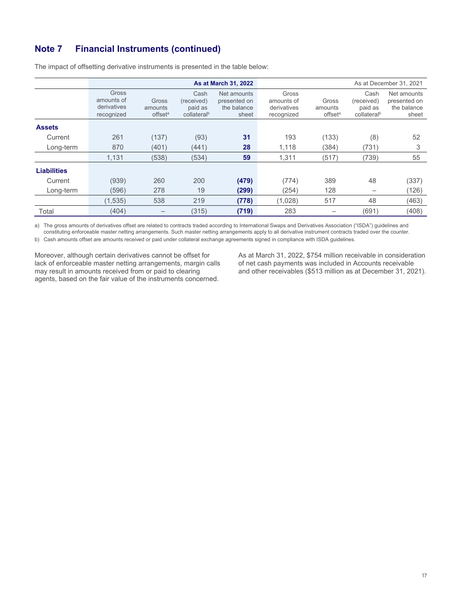|                    |                                                  |                                         |                                                          | As at March 31, 2022                                | As at December 31, 2021                          |                                         |                                                          |                                                     |
|--------------------|--------------------------------------------------|-----------------------------------------|----------------------------------------------------------|-----------------------------------------------------|--------------------------------------------------|-----------------------------------------|----------------------------------------------------------|-----------------------------------------------------|
|                    | Gross<br>amounts of<br>derivatives<br>recognized | Gross<br>amounts<br>offset <sup>a</sup> | Cash<br>(received)<br>paid as<br>collateral <sup>b</sup> | Net amounts<br>presented on<br>the balance<br>sheet | Gross<br>amounts of<br>derivatives<br>recognized | Gross<br>amounts<br>offset <sup>a</sup> | Cash<br>(received)<br>paid as<br>collateral <sup>b</sup> | Net amounts<br>presented on<br>the balance<br>sheet |
| <b>Assets</b>      |                                                  |                                         |                                                          |                                                     |                                                  |                                         |                                                          |                                                     |
| Current            | 261                                              | (137)                                   | (93)                                                     | 31                                                  | 193                                              | (133)                                   | (8)                                                      | 52                                                  |
| Long-term          | 870                                              | (401)                                   | (441)                                                    | 28                                                  | 1,118                                            | (384)                                   | (731)                                                    | 3                                                   |
|                    | 1,131                                            | (538)                                   | (534)                                                    | 59                                                  | 1,311                                            | (517)                                   | (739)                                                    | 55                                                  |
| <b>Liabilities</b> |                                                  |                                         |                                                          |                                                     |                                                  |                                         |                                                          |                                                     |
| Current            | (939)                                            | 260                                     | 200                                                      | (479)                                               | (774)                                            | 389                                     | 48                                                       | (337)                                               |
| Long-term          | (596)                                            | 278                                     | 19                                                       | (299)                                               | (254)                                            | 128                                     |                                                          | (126)                                               |
|                    | (1,535)                                          | 538                                     | 219                                                      | (778)                                               | (1,028)                                          | 517                                     | 48                                                       | (463)                                               |
| Total              | (404)                                            |                                         | (315)                                                    | (719)                                               | 283                                              |                                         | (691)                                                    | (408)                                               |

The impact of offsetting derivative instruments is presented in the table below:

a) The gross amounts of derivatives offset are related to contracts traded according to International Swaps and Derivatives Association ("ISDA") guidelines and constituting enforceable master netting arrangements. Such master netting arrangements apply to all derivative instrument contracts traded over the counter.

b) Cash amounts offset are amounts received or paid under collateral exchange agreements signed in compliance with ISDA guidelines.

Moreover, although certain derivatives cannot be offset for lack of enforceable master netting arrangements, margin calls may result in amounts received from or paid to clearing agents, based on the fair value of the instruments concerned.

As at March 31, 2022, \$754 million receivable in consideration of net cash payments was included in Accounts receivable and other receivables (\$513 million as at December 31, 2021).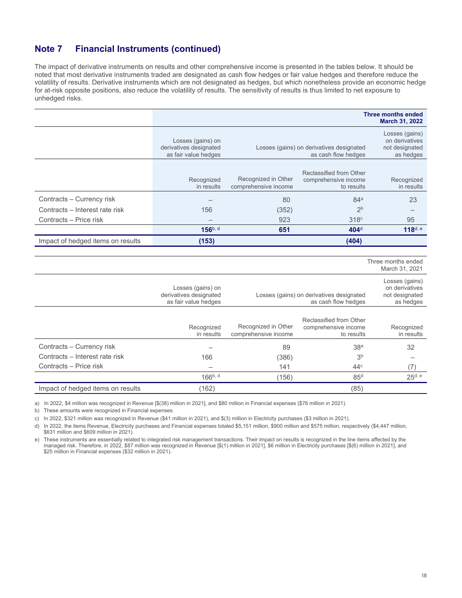The impact of derivative instruments on results and other comprehensive income is presented in the tables below. It should be noted that most derivative instruments traded are designated as cash flow hedges or fair value hedges and therefore reduce the volatility of results. Derivative instruments which are not designated as hedges, but which nonetheless provide an economic hedge for at-risk opposite positions, also reduce the volatility of results. The sensitivity of results is thus limited to net exposure to unhedged risks.

|                                   |                                                                     |                                             |                                                                 | <b>Three months ended</b><br>March 31, 2022                     |
|-----------------------------------|---------------------------------------------------------------------|---------------------------------------------|-----------------------------------------------------------------|-----------------------------------------------------------------|
|                                   | Losses (gains) on<br>derivatives designated<br>as fair value hedges |                                             | Losses (gains) on derivatives designated<br>as cash flow hedges | Losses (gains)<br>on derivatives<br>not designated<br>as hedges |
|                                   | Recognized<br>in results                                            | Recognized in Other<br>comprehensive income | Reclassified from Other<br>comprehensive income<br>to results   | Recognized<br>in results                                        |
| Contracts - Currency risk         |                                                                     | 80                                          | 84 <sup>a</sup>                                                 | 23                                                              |
| Contracts - Interest rate risk    | 156                                                                 | (352)                                       | 2 <sub>b</sub>                                                  |                                                                 |
| Contracts - Price risk            |                                                                     | 923                                         | 318 <sup>c</sup>                                                | 95                                                              |
|                                   | 156b, d                                                             | 651                                         | 404 <sup>d</sup>                                                | 118 <sup>d, e</sup>                                             |
| Impact of hedged items on results | (153)                                                               |                                             | (404)                                                           |                                                                 |
|                                   |                                                                     |                                             |                                                                 |                                                                 |
|                                   |                                                                     |                                             |                                                                 | Three months ended<br>March 31, 2021                            |
|                                   | Losses (gains) on<br>derivatives designated<br>as fair value hedges |                                             | Losses (gains) on derivatives designated<br>as cash flow hedges | Losses (gains)<br>on derivatives<br>not designated<br>as hedges |
|                                   | Recognized<br>in results                                            | Recognized in Other<br>comprehensive income | Reclassified from Other<br>comprehensive income<br>to results   | Recognized<br>in results                                        |
| Contracts - Currency risk         |                                                                     | 89                                          | 38 <sup>a</sup>                                                 | 32                                                              |
| Contracts - Interest rate risk    | 166                                                                 | (386)                                       | 3 <sup>b</sup>                                                  |                                                                 |
| Contracts - Price risk            |                                                                     | 141                                         | 44 <sup>c</sup>                                                 | (7)                                                             |
|                                   | 166b, d                                                             | (156)                                       | 85 <sup>d</sup>                                                 | $25d$ , e                                                       |
| Impact of hedged items on results | (162)                                                               |                                             | (85)                                                            |                                                                 |

a) In 2022, \$4 million was recognized in Revenue [\$(38) million in 2021], and \$80 million in Financial expenses (\$76 million in 2021).

b) These amounts were recognized in Financial expenses.

c) In 2022, \$321 million was recognized in Revenue (\$41 million in 2021), and \$(3) million in Electricity purchases (\$3 million in 2021).

d) In 2022, the items Revenue, Electricity purchases and Financial expenses totaled \$5,151 million, \$900 million and \$575 million, respectively (\$4,447 million, \$631 million and \$609 million in 2021).

e) These instruments are essentially related to integrated risk management transactions. Their impact on results is recognized in the line items affected by the managed risk. Therefore, in 2022, \$87 million was recognized in Revenue [\$(1) million in 2021], \$6 million in Electricity purchases [\$(6) million in 2021], and \$25 million in Financial expenses (\$32 million in 2021).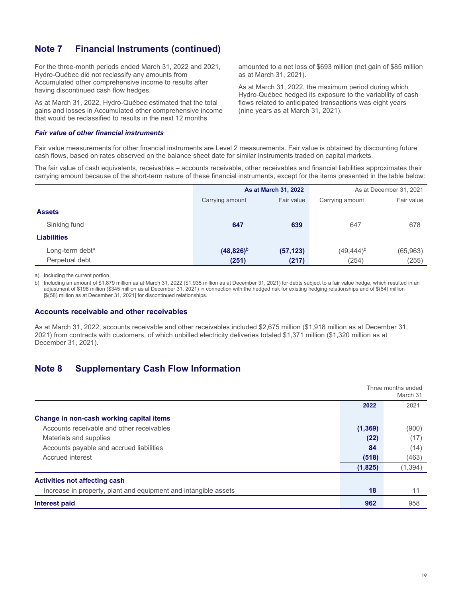For the three-month periods ended March 31, 2022 and 2021, Hydro-Québec did not reclassify any amounts from Accumulated other comprehensive income to results after having discontinued cash flow hedges.

As at March 31, 2022, Hydro-Québec estimated that the total gains and losses in Accumulated other comprehensive income that would be reclassified to results in the next 12 months

#### *Fair value of other financial instruments*

amounted to a net loss of \$693 million (net gain of \$85 million as at March 31, 2021).

As at March 31, 2022, the maximum period during which Hydro-Québec hedged its exposure to the variability of cash flows related to anticipated transactions was eight years (nine years as at March 31, 2021).

Fair value measurements for other financial instruments are Level 2 measurements. Fair value is obtained by discounting future cash flows, based on rates observed on the balance sheet date for similar instruments traded on capital markets.

The fair value of cash equivalents, receivables – accounts receivable, other receivables and financial liabilities approximates their carrying amount because of the short-term nature of these financial instruments, except for the items presented in the table below:

|                             |                               | As at March 31, 2022 | As at December 31, 2021 |            |  |  |
|-----------------------------|-------------------------------|----------------------|-------------------------|------------|--|--|
|                             | Fair value<br>Carrying amount |                      | Carrying amount         | Fair value |  |  |
| <b>Assets</b>               |                               |                      |                         |            |  |  |
| Sinking fund                | 647                           | 639                  | 647                     | 678        |  |  |
| <b>Liabilities</b>          |                               |                      |                         |            |  |  |
| Long-term debt <sup>a</sup> | $(48,826)^b$                  | (57, 123)            | $(49, 444)^{b}$         | (65, 963)  |  |  |
| Perpetual debt              | (251)                         | (217)                | (254)                   | (255)      |  |  |

a) Including the current portion.

b) Including an amount of \$1,879 million as at March 31, 2022 (\$1,935 million as at December 31, 2021) for debts subject to a fair value hedge, which resulted in an adjustment of \$198 million (\$345 million as at December 31, 2021) in connection with the hedged risk for existing hedging relationships and of \$(64) million [\$(58) million as at December 31, 2021] for discontinued relationships.

#### **Accounts receivable and other receivables**

As at March 31, 2022, accounts receivable and other receivables included \$2,675 million (\$1,918 million as at December 31, 2021) from contracts with customers, of which unbilled electricity deliveries totaled \$1,371 million (\$1,320 million as at December 31, 2021).

### **Note 8 Supplementary Cash Flow Information**

|                                                                 | Three months ended<br>March 31 |          |  |
|-----------------------------------------------------------------|--------------------------------|----------|--|
|                                                                 | 2022                           | 2021     |  |
| Change in non-cash working capital items                        |                                |          |  |
| Accounts receivable and other receivables                       |                                | (900)    |  |
| Materials and supplies                                          | (22)                           | (17)     |  |
| Accounts payable and accrued liabilities                        | 84                             | (14)     |  |
| Accrued interest                                                | (518)                          | (463)    |  |
|                                                                 | (1,825)                        | (1, 394) |  |
| <b>Activities not affecting cash</b>                            |                                |          |  |
| Increase in property, plant and equipment and intangible assets | 18                             | 11       |  |
| Interest paid                                                   | 962                            | 958      |  |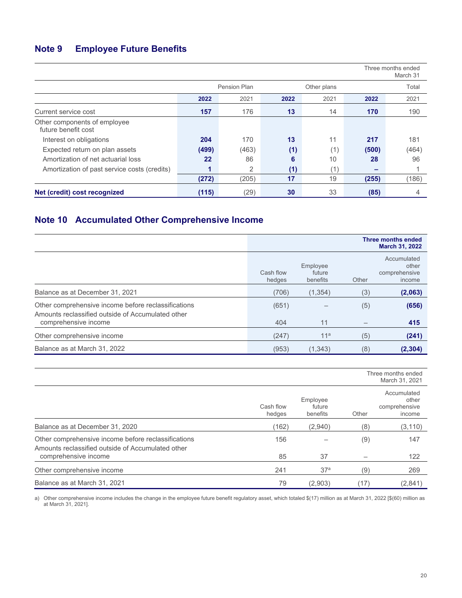# **Note 9 Employee Future Benefits**

|                                                     | Three months ended<br>March 31 |       |      |             |       |       |
|-----------------------------------------------------|--------------------------------|-------|------|-------------|-------|-------|
|                                                     | <b>Pension Plan</b>            |       |      | Other plans |       | Total |
|                                                     | 2022                           | 2021  | 2022 | 2021        | 2022  | 2021  |
| Current service cost                                | 157                            | 176   | 13   | 14          | 170   | 190   |
| Other components of employee<br>future benefit cost |                                |       |      |             |       |       |
| Interest on obligations                             | 204                            | 170   | 13   | 11          | 217   | 181   |
| Expected return on plan assets                      | (499)                          | (463) | (1)  | (1)         | (500) | (464) |
| Amortization of net actuarial loss                  | 22                             | 86    | 6    | 10          | 28    | 96    |
| Amortization of past service costs (credits)        | 1                              | 2     | (1)  | ้1`         |       |       |
|                                                     | (272)                          | (205) | 17   | 19          | (255) | (186) |
| Net (credit) cost recognized                        | (115)                          | (29)  | 30   | 33          | (85)  | 4     |

# **Note 10 Accumulated Other Comprehensive Income**

|                                                                                                          |                     |                                |       | Three months ended<br>March 31, 2022            |
|----------------------------------------------------------------------------------------------------------|---------------------|--------------------------------|-------|-------------------------------------------------|
|                                                                                                          | Cash flow<br>hedges | Employee<br>future<br>benefits | Other | Accumulated<br>other<br>comprehensive<br>income |
| Balance as at December 31, 2021                                                                          | (706)               | (1, 354)                       | (3)   | (2,063)                                         |
| Other comprehensive income before reclassifications<br>Amounts reclassified outside of Accumulated other | (651)               |                                | (5)   | (656)                                           |
| comprehensive income                                                                                     | 404                 | 11                             |       | 415                                             |
| Other comprehensive income                                                                               | (247)               | 11 <sup>a</sup>                | (5)   | (241)                                           |
| Balance as at March 31, 2022                                                                             | (953)               | (1, 343)                       | (8)   | (2, 304)                                        |

|                                                                                                          | Three months ended<br>March 31, 2021 |                                |       |                                                 |
|----------------------------------------------------------------------------------------------------------|--------------------------------------|--------------------------------|-------|-------------------------------------------------|
|                                                                                                          | Cash flow<br>hedges                  | Employee<br>future<br>benefits | Other | Accumulated<br>other<br>comprehensive<br>income |
| Balance as at December 31, 2020                                                                          | (162)                                | (2,940)                        | (8)   | (3, 110)                                        |
| Other comprehensive income before reclassifications<br>Amounts reclassified outside of Accumulated other | 156                                  |                                | (9)   | 147                                             |
| comprehensive income                                                                                     | 85                                   | 37                             |       | 122                                             |
| Other comprehensive income                                                                               | 241                                  | 37 <sup>a</sup>                | (9)   | 269                                             |
| Balance as at March 31, 2021                                                                             | 79                                   | (2,903)                        | (17)  | (2,841)                                         |

a) Other comprehensive income includes the change in the employee future benefit regulatory asset, which totaled \$(17) million as at March 31, 2022 [\$(60) million as at March 31, 2021].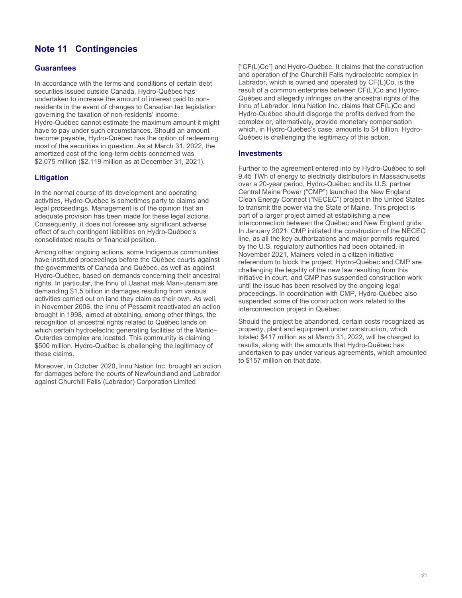# **Note 11 Contingencies**

#### **Guarantees**

In accordance with the terms and conditions of certain debt securities issued outside Canada, Hydro-Québec has undertaken to increase the amount of interest paid to nonresidents in the event of changes to Canadian tax legislation governing the taxation of non-residents' income. Hydro-Québec cannot estimate the maximum amount it might have to pay under such circumstances. Should an amount become payable, Hydro-Québec has the option of redeeming most of the securities in question. As at March 31, 2022, the amortized cost of the long-term debts concerned was \$2,075 million (\$2,119 million as at December 31, 2021).

#### **Litigation**

In the normal course of its development and operating activities, Hydro-Québec is sometimes party to claims and legal proceedings. Management is of the opinion that an adequate provision has been made for these legal actions. Consequently, it does not foresee any significant adverse effect of such contingent liabilities on Hydro-Québec's consolidated results or financial position.

Among other ongoing actions, some Indigenous communities have instituted proceedings before the Québec courts against the governments of Canada and Québec, as well as against Hydro-Québec, based on demands concerning their ancestral rights. In particular, the Innu of Uashat mak Mani-utenam are demanding \$1.5 billion in damages resulting from various activities carried out on land they claim as their own. As well, in November 2006, the Innu of Pessamit reactivated an action brought in 1998, aimed at obtaining, among other things, the recognition of ancestral rights related to Québec lands on which certain hydroelectric generating facilities of the Manic– Outardes complex are located. This community is claiming \$500 million. Hydro-Québec is challenging the legitimacy of these claims.

Moreover, in October 2020, Innu Nation Inc. brought an action for damages before the courts of Newfoundland and Labrador against Churchill Falls (Labrador) Corporation Limited

["CF(L)Co"] and Hydro-Québec. It claims that the construction and operation of the Churchill Falls hydroelectric complex in Labrador, which is owned and operated by CF(L)Co, is the result of a common enterprise between CF(L)Co and Hydro-Québec and allegedly infringes on the ancestral rights of the Innu of Labrador. Innu Nation Inc. claims that CF(L)Co and Hydro-Québec should disgorge the profits derived from the complex or, alternatively, provide monetary compensation which, in Hydro-Québec's case, amounts to \$4 billion. Hydro-Québec is challenging the legitimacy of this action.

#### **Investments**

Further to the agreement entered into by Hydro-Québec to sell 9.45 TWh of energy to electricity distributors in Massachusetts over a 20-year period, Hydro-Québec and its U.S. partner Central Maine Power ("CMP") launched the New England Clean Energy Connect ("NECEC") project in the United States to transmit the power via the State of Maine. This project is part of a larger project aimed at establishing a new interconnection between the Québec and New England grids. In January 2021, CMP initiated the construction of the NECEC line, as all the key authorizations and major permits required by the U.S. regulatory authorities had been obtained. In November 2021, Mainers voted in a citizen initiative referendum to block the project. Hydro-Québec and CMP are challenging the legality of the new law resulting from this initiative in court, and CMP has suspended construction work until the issue has been resolved by the ongoing legal proceedings. In coordination with CMP, Hydro-Québec also suspended some of the construction work related to the interconnection project in Québec.

Should the project be abandoned, certain costs recognized as property, plant and equipment under construction, which totaled \$417 million as at March 31, 2022, will be charged to results, along with the amounts that Hydro-Québec has undertaken to pay under various agreements, which amounted to \$157 million on that date.